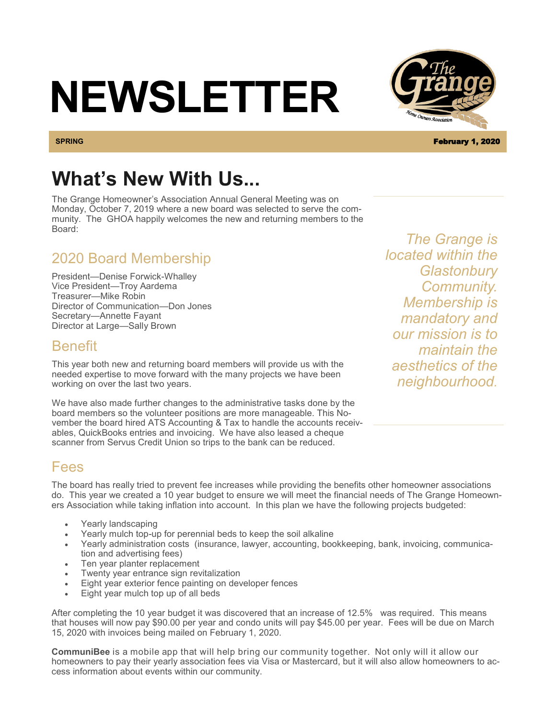# **NEWSLETTER**

# **What's New With Us...**

The Grange Homeowner's Association Annual General Meeting was on Monday, October 7, 2019 where a new board was selected to serve the community. The GHOA happily welcomes the new and returning members to the Board:

### 2020 Board Membership

President—Denise Forwick-Whalley Vice President—Troy Aardema Treasurer—Mike Robin Director of Communication—Don Jones Secretary—Annette Fayant Director at Large—Sally Brown

### Benefit

This year both new and returning board members will provide us with the needed expertise to move forward with the many projects we have been working on over the last two years.

We have also made further changes to the administrative tasks done by the board members so the volunteer positions are more manageable. This November the board hired ATS Accounting & Tax to handle the accounts receivables, QuickBooks entries and invoicing. We have also leased a cheque scanner from Servus Credit Union so trips to the bank can be reduced.

*located within the Glastonbury Community. Membership is mandatory and our mission is to maintain the aesthetics of the neighbourhood.* 

*The Grange is* 

### Fees

The board has really tried to prevent fee increases while providing the benefits other homeowner associations do. This year we created a 10 year budget to ensure we will meet the financial needs of The Grange Homeowners Association while taking inflation into account. In this plan we have the following projects budgeted:

- Yearly landscaping
- Yearly mulch top-up for perennial beds to keep the soil alkaline
- Yearly administration costs (insurance, lawyer, accounting, bookkeeping, bank, invoicing, communication and advertising fees)
- Ten year planter replacement
- Twenty year entrance sign revitalization
- Eight year exterior fence painting on developer fences
- Eight year mulch top up of all beds

After completing the 10 year budget it was discovered that an increase of 12.5% was required. This means that houses will now pay \$90.00 per year and condo units will pay \$45.00 per year. Fees will be due on March 15, 2020 with invoices being mailed on February 1, 2020.

**CommuniBee** is a mobile app that will help bring our community together. Not only will it allow our homeowners to pay their yearly association fees via Visa or Mastercard, but it will also allow homeowners to access information about events within our community.



**SPRING** February 1, 2020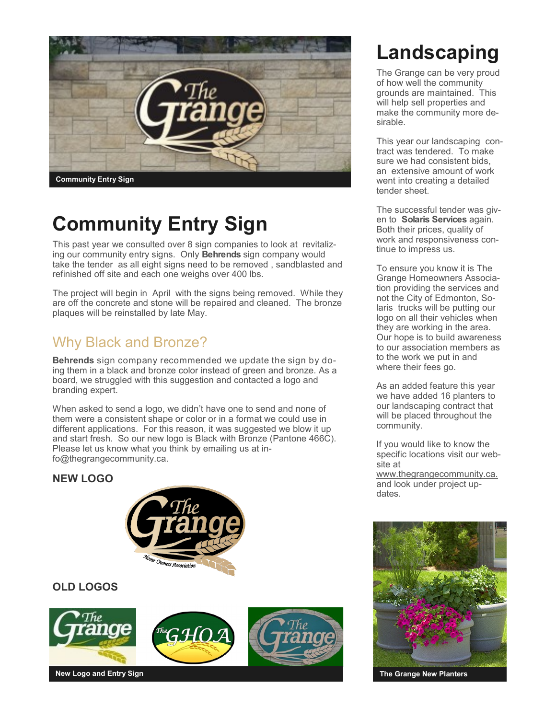

# **Community Entry Sign**

This past year we consulted over 8 sign companies to look at revitalizing our community entry signs. Only **Behrends** sign company would take the tender as all eight signs need to be removed , sandblasted and refinished off site and each one weighs over 400 lbs.

The project will begin in April with the signs being removed. While they are off the concrete and stone will be repaired and cleaned. The bronze plaques will be reinstalled by late May.

### Why Black and Bronze?

**Behrends** sign company recommended we update the sign by doing them in a black and bronze color instead of green and bronze. As a board, we struggled with this suggestion and contacted a logo and branding expert.

When asked to send a logo, we didn't have one to send and none of them were a consistent shape or color or in a format we could use in different applications. For this reason, it was suggested we blow it up and start fresh. So our new logo is Black with Bronze (Pantone 466C). Please let us know what you think by emailing us at info@thegrangecommunity.ca.

#### **NEW LOGO**



#### **OLD LOGOS**



# **Landscaping**

The Grange can be very proud of how well the community grounds are maintained. This will help sell properties and make the community more desirable.

This year our landscaping contract was tendered. To make sure we had consistent bids, an extensive amount of work went into creating a detailed tender sheet.

The successful tender was given to **Solaris Services** again. Both their prices, quality of work and responsiveness continue to impress us.

To ensure you know it is The Grange Homeowners Association providing the services and not the City of Edmonton, Solaris trucks will be putting our logo on all their vehicles when they are working in the area. Our hope is to build awareness to our association members as to the work we put in and where their fees go.

As an added feature this year we have added 16 planters to our landscaping contract that will be placed throughout the community.

If you would like to know the specific locations visit our website at

www.thegrangecommunity.ca. and look under project updates.



**The Grange New Planters**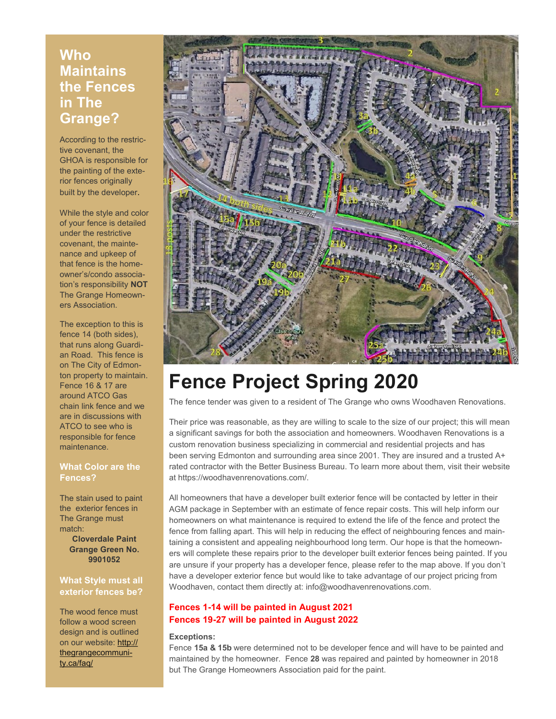### **Who Maintains the Fences in The Grange?**

According to the restrictive covenant, the GHOA is responsible for the painting of the exterior fences originally built by the developer.

While the style and color of your fence is detailed under the restrictive covenant, the maintenance and upkeep of that fence is the homeowner's/condo association's responsibility **NOT**  The Grange Homeowners Association.

The exception to this is fence 14 (both sides), that runs along Guardian Road. This fence is on The City of Edmonton property to maintain. Fence 16 & 17 are around ATCO Gas chain link fence and we are in discussions with ATCO to see who is responsible for fence maintenance.

#### **What Color are the Fences?**

The stain used to paint the exterior fences in The Grange must match:

> **Cloverdale Paint Grange Green No. 9901052**

#### **What Style must all exterior fences be?**

The wood fence must follow a wood screen design and is outlined on our website: [http://](http://thegrangecommunity.ca/faq/) [thegrangecommuni](http://thegrangecommunity.ca/faq/)[ty.ca/faq/](http://thegrangecommunity.ca/faq/) 



# **Fence Project Spring 2020**

The fence tender was given to a resident of The Grange who owns Woodhaven Renovations.

Their price was reasonable, as they are willing to scale to the size of our project; this will mean a significant savings for both the association and homeowners. Woodhaven Renovations is a custom renovation business specializing in commercial and residential projects and has been serving Edmonton and surrounding area since 2001. They are insured and a trusted A+ rated contractor with the Better Business Bureau. To learn more about them, visit their website at https://woodhavenrenovations.com/.

All homeowners that have a developer built exterior fence will be contacted by letter in their AGM package in September with an estimate of fence repair costs. This will help inform our homeowners on what maintenance is required to extend the life of the fence and protect the fence from falling apart. This will help in reducing the effect of neighbouring fences and maintaining a consistent and appealing neighbourhood long term. Our hope is that the homeowners will complete these repairs prior to the developer built exterior fences being painted. If you are unsure if your property has a developer fence, please refer to the map above. If you don't have a developer exterior fence but would like to take advantage of our project pricing from Woodhaven, contact them directly at: info@woodhavenrenovations.com.

#### **Fences 1-14 will be painted in August 2021 Fences 19-27 will be painted in August 2022**

#### **Exceptions:**

Fence **15a & 15b** were determined not to be developer fence and will have to be painted and maintained by the homeowner. Fence **28** was repaired and painted by homeowner in 2018 but The Grange Homeowners Association paid for the paint.